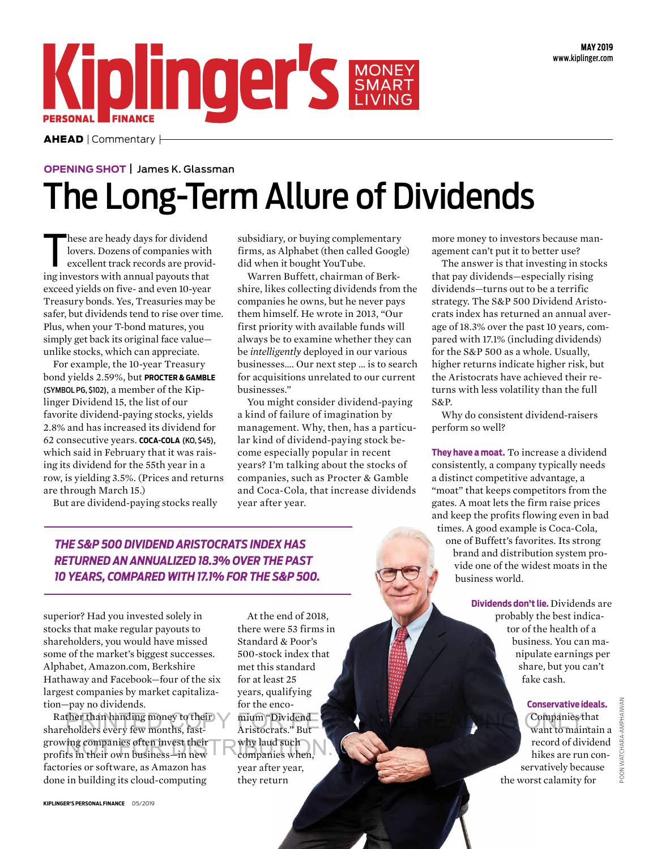

 $AHEAD$  | Commentary  $\vdash$ 

## **OPENING SHOT** James K. Glassman The Long-Term Allure of Dividends

hese are heady days for dividend<br>lovers. Dozens of companies with<br>excellent track records are provid<br>ing investors with annual payouts that hese are heady days for dividend lovers. Dozens of companies with excellent track records are providexceed yields on five- and even 10-year Treasury bonds. Yes, Treasuries may be safer, but dividends tend to rise over time. Plus, when your T-bond matures, you simply get back its original face value unlike stocks, which can appreciate.

For example, the 10-year Treasury bond yields 2.59%, but **PROCTER & GAMBLE**  (SYMBOL PG, \$102), a member of the Kiplinger Dividend 15, the list of our favorite dividend-paying stocks, yields 2.8% and has increased its dividend for 62 consecutive years. **COCA-COLA** (KO, \$45), which said in February that it was raising its dividend for the 55th year in a row, is yielding 3.5%. (Prices and returns are through March 15.)

But are dividend-paying stocks really

subsidiary, or buying complementary firms, as Alphabet (then called Google) did when it bought YouTube.

Warren Buffett, chairman of Berkshire, likes collecting dividends from the companies he owns, but he never pays them himself. He wrote in 2013, "Our first priority with available funds will always be to examine whether they can be *intelligently* deployed in our various businesses…. Our next step … is to search for acquisitions unrelated to our current businesses."

You might consider dividend-paying a kind of failure of imagination by management. Why, then, has a particular kind of dividend-paying stock become especially popular in recent years? I'm talking about the stocks of companies, such as Procter & Gamble and Coca-Cola, that increase dividends year after year.

more money to investors because management can't put it to better use?

The answer is that investing in stocks that pay dividends—especially rising dividends—turns out to be a terrific strategy. The S&P 500 Dividend Aristocrats index has returned an annual average of 18.3% over the past 10 years, compared with 17.1% (including dividends) for the S&P 500 as a whole. Usually, higher returns indicate higher risk, but the Aristocrats have achieved their returns with less volatility than the full S&P.

Why do consistent dividend-raisers perform so well?

**They have a moat.** To increase a dividend consistently, a company typically needs a distinct competitive advantage, a "moat" that keeps competitors from the gates. A moat lets the firm raise prices and keep the profits flowing even in bad times. A good example is Coca-Cola, one of Buffett's favorites. Its strong brand and distribution system provide one of the widest moats in the business world.

> **Dividends don't lie.** Dividends are probably the best indicator of the health of a business. You can manipulate earnings per share, but you can't fake cash.

> > **Conservative ideals.** Companies that want to maintain a record of dividend hikes are run conservatively because the worst calamity for

POON WATCHARA-AMPHAIWAN

POON WATCHARA-AMPHAIWAN

*THE S&P 500 DIVIDEND ARISTOCRATS INDEX HAS RETURNED AN ANNUALIZED 18.3% OVER THE PAST 10 YEARS, COMPARED WITH 17.1% FOR THE S&P 500.*

superior? Had you invested solely in stocks that make regular payouts to shareholders, you would have missed some of the market's biggest successes. Alphabet, Amazon.com, Berkshire Hathaway and Facebook—four of the six largest companies by market capitalization—pay no dividends.

Rather than handing money to their mium "Dividend and the state of the companies that are holders every few months, fast-<br>A ristocrats." But and the companies of the companies of the companies of the companies that want to shareholders every few months, fastgrowing companies often invest their growing companies often invest their why laud such<br>profits in their own business—in new companies when, factories or software, as Amazon has done in building its cloud-computing

there were 53 firms in Standard & Poor's 500-stock index that met this standard for at least 25 years, qualifying for the encomium "Dividend Aristocrats." But why laud such companies when, year after year, they return

At the end of 2018,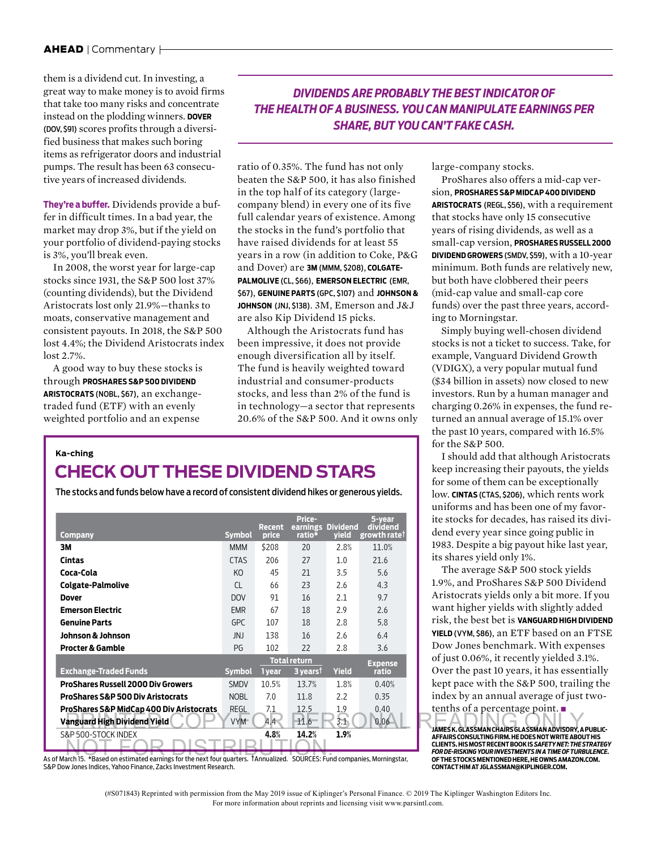them is a dividend cut. In investing, a great way to make money is to avoid firms that take too many risks and concentrate instead on the plodding winners. **DOVER** (DOV, \$91) scores profits through a diversified business that makes such boring items as refrigerator doors and industrial pumps. The result has been 63 consecutive years of increased dividends.

**They're a buffer.** Dividends provide a buffer in difficult times. In a bad year, the market may drop 3%, but if the yield on your portfolio of dividend-paying stocks is 3%, you'll break even.

In 2008, the worst year for large-cap stocks since 1931, the S&P 500 lost 37% (counting dividends), but the Dividend Aristocrats lost only 21.9%—thanks to moats, conservative management and consistent payouts. In 2018, the S&P 500 lost 4.4%; the Dividend Aristocrats index lost 2.7%.

A good way to buy these stocks is through **PROSHARES S&P 500 DIVIDEND ARISTOCRATS** (NOBL, \$67), an exchangetraded fund (ETF) with an evenly weighted portfolio and an expense

## *DIVIDENDS ARE PROBABLY THE BEST INDICATOR OF THE HEALTH OF A BUSINESS. YOU CAN MANIPULATE EARNINGS PER SHARE, BUT YOU CAN'T FAKE CASH.*

ratio of 0.35%. The fund has not only beaten the S&P 500, it has also finished in the top half of its category (largecompany blend) in every one of its five full calendar years of existence. Among the stocks in the fund's portfolio that have raised dividends for at least 55 years in a row (in addition to Coke, P&G and Dover) are **3M** (MMM, \$208), **COLGATE-PALMOLIVE** (CL, \$66), **EMERSON ELECTRIC** (EMR, \$67), **GENUINE PARTS** (GPC, \$107) and **JOHNSON & JOHNSON** (JNJ, \$138). 3M, Emerson and J&J are also Kip Dividend 15 picks.

Although the Aristocrats fund has been impressive, it does not provide enough diversification all by itself. The fund is heavily weighted toward industrial and consumer-products stocks, and less than 2% of the fund is in technology—a sector that represents 20.6% of the S&P 500. And it owns only

## **Ka-ching**

## **CHECK OUT THESE DIVIDEND STARS**

The stocks and funds below have a record of consistent dividend hikes or generous yields.

|                                              |               | Recent | Price-<br>earnings Dividend |              | 5-year<br>dividend       | ite stocks for decades, has raised its di                                                                 |
|----------------------------------------------|---------------|--------|-----------------------------|--------------|--------------------------|-----------------------------------------------------------------------------------------------------------|
| Company                                      | <b>Symbol</b> | price  | ratio*                      | <b>yield</b> | growth rate <sup>†</sup> | dend every year since going public in                                                                     |
| 3M                                           | <b>MMM</b>    | \$208  | 20                          | 2.8%         | 11.0%                    | 1983. Despite a big payout hike last yea                                                                  |
| Cintas                                       | <b>CTAS</b>   | 206    | 27                          | 1.0          | 21.6                     | its shares yield only 1%.                                                                                 |
| Coca-Cola                                    | KO            | 45     | 21                          | 3.5          | 5.6                      | The average S&P 500 stock yields                                                                          |
| Colgate-Palmolive                            | <b>CL</b>     | 66     | 23                          | 2.6          | 4.3                      | 1.9%, and ProShares S&P 500 Divider                                                                       |
| <b>Dover</b>                                 | <b>DOV</b>    | 91     | 16                          | 2.1          | 9.7                      | Aristocrats yields only a bit more. If y                                                                  |
| <b>Emerson Electric</b>                      | <b>EMR</b>    | 67     | 18                          | 2.9          | 2.6                      | want higher yields with slightly adde                                                                     |
| <b>Genuine Parts</b>                         | <b>GPC</b>    | 107    | 18                          | 2.8          | 5.8                      | risk, the best bet is VANGUARD HIGH DIVID                                                                 |
| Johnson & Johnson                            | JNJ           | 138    | 16                          | 2.6          | 6.4                      | <b>YIELD</b> (VYM, \$86), an ETF based on an FT                                                           |
| <b>Procter &amp; Gamble</b>                  | <b>PG</b>     | 102    | 22                          | 2.8          | 3.6                      | Dow Jones benchmark. With expense                                                                         |
|                                              |               |        | <b>Total return</b>         |              |                          | of just 0.06%, it recently yielded 3.1%.                                                                  |
| <b>Exchange-Traded Funds</b>                 | <b>Symbol</b> | 1 year | 3 years <sup>t</sup>        | <b>Yield</b> | <b>Expense</b><br>ratio  | Over the past 10 years, it has essentia                                                                   |
| <b>ProShares Russell 2000 Div Growers</b>    | <b>SMDV</b>   | 10.5%  | 13.7%                       | 1.8%         | 0.40%                    | kept pace with the S&P 500, trailing t                                                                    |
| <b>ProShares S&amp;P 500 Div Aristocrats</b> | <b>NOBL</b>   | 7.0    | 11.8                        | 2.2          | 0.35                     | index by an annual average of just tw                                                                     |
| ProShares S&P MidCap 400 Div Aristocrats     | <b>REGL</b>   | 7.1    | 12.5                        | 1.9          | 0.40                     | tenths of a percentage point. $\blacksquare$                                                              |
| Vanguard High Dividend Yield                 | <b>VYM</b>    | 4.4    | 11.6                        | 3.1          | 0.06                     |                                                                                                           |
| S&P 500-STOCK INDEX                          |               | 4.8%   | 14.2%                       | 1.9%         |                          | JAMES K. GLASSMAN CHAIRS GLASSMAN ADVISORY, A PUB<br>AFFAIRS CONSULTING FIRM. HE DOES NOT WRITE ABOUT HI: |
|                                              |               |        |                             |              |                          |                                                                                                           |

kas of March 15. \*Based on estimated earnings for the next four quarters. †Annualized. SOURCES: Fund companies, Morningstar, with the state of the next four quarters. †Annualized. SOURCES: Fund companies, Morningstar, S&P Dow Jones Indices, Yahoo Finance, Zacks Investment Research.

large-company stocks.

ProShares also offers a mid-cap version, **PROSHARES S&P MIDCAP 400 DIVIDEND ARISTOCRATS** (REGL, \$56), with a requirement that stocks have only 15 consecutive years of rising dividends, as well as a small-cap version, **PROSHARES RUSSELL 2000 DIVIDEND GROWERS** (SMDV, \$59), with a 10-year minimum. Both funds are relatively new, but both have clobbered their peers (mid-cap value and small-cap core funds) over the past three years, according to Morningstar.

Simply buying well-chosen dividend stocks is not a ticket to success. Take, for example, Vanguard Dividend Growth (VDIGX), a very popular mutual fund (\$34 billion in assets) now closed to new investors. Run by a human manager and charging 0.26% in expenses, the fund returned an annual average of 15.1% over the past 10 years, compared with 16.5% for the S&P 500.

I should add that although Aristocrats keep increasing their payouts, the yields for some of them can be exceptionally low. **CINTAS** (CTAS, \$206), which rents work uniforms and has been one of my favorite stocks for decades, has raised its dividend every year since going public in 1983. Despite a big payout hike last year, its shares yield only 1%.

The average S&P 500 stock yields 1.9%, and ProShares S&P 500 Dividend Aristocrats yields only a bit more. If you want higher yields with slightly added risk, the best bet is **VANGUARD HIGH DIVIDEND YIELD** (VYM, \$86), an ETF based on an FTSE Dow Jones benchmark. With expenses of just 0.06%, it recently yielded 3.1%. Over the past 10 years, it has essentially kept pace with the S&P 500, trailing the index by an annual average of just twotenths of a percentage point. ■

**JAMES K. GLASSMAN CHAIRS GLASSMAN ADVISORY, A PUBLIC-AFFAIRS CONSULTING FIRM. HE DOES NOT WRITE ABOUT HIS CLIENTS. HIS MOST RECENT BOOK IS** *SAFETY NET: THE STRATEGY FOR DE-RISKING YOUR INVESTMENTS IN A TIME OF TURBULENCE***. OF THE STOCKS MENTIONED HERE, HE OWNS AMAZON.COM. CONTACT HIM AT JGLASSMAN@KIPLINGER.COM.**

(#S071843) Reprinted with permission from the May 2019 issue of Kiplinger's Personal Finance. © 2019 The Kiplinger Washington Editors Inc. For more information about reprints and licensing visit www.parsintl.com.